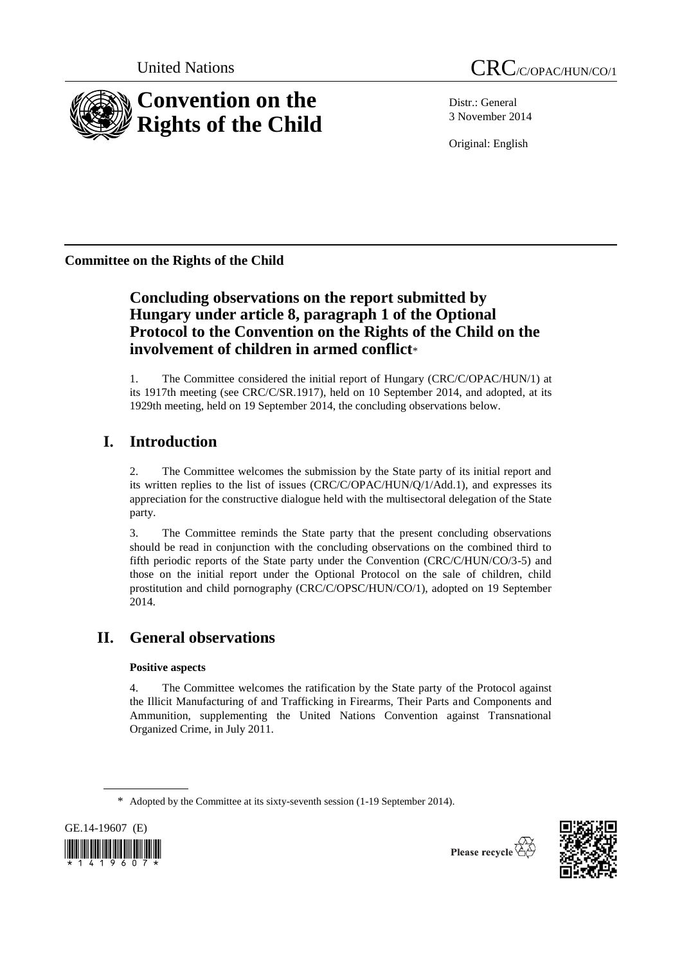

Distr.: General 3 November 2014

Original: English

**Committee on the Rights of the Child**

# **Concluding observations on the report submitted by Hungary under article 8, paragraph 1 of the Optional Protocol to the Convention on the Rights of the Child on the involvement of children in armed conflict**\*

1. The Committee considered the initial report of Hungary (CRC/C/OPAC/HUN/1) at its 1917th meeting (see CRC/C/SR.1917), held on 10 September 2014, and adopted, at its 1929th meeting, held on 19 September 2014, the concluding observations below.

# **I. Introduction**

2. The Committee welcomes the submission by the State party of its initial report and its written replies to the list of issues (CRC/C/OPAC/HUN/Q/1/Add.1), and expresses its appreciation for the constructive dialogue held with the multisectoral delegation of the State party.

3. The Committee reminds the State party that the present concluding observations should be read in conjunction with the concluding observations on the combined third to fifth periodic reports of the State party under the Convention (CRC/C/HUN/CO/3-5) and those on the initial report under the Optional Protocol on the sale of children, child prostitution and child pornography (CRC/C/OPSC/HUN/CO/1), adopted on 19 September 2014.

# **II. General observations**

## **Positive aspects**

4. The Committee welcomes the ratification by the State party of the Protocol against the Illicit Manufacturing of and Trafficking in Firearms, Their Parts and Components and Ammunition, supplementing the United Nations Convention against Transnational Organized Crime, in July 2011.

<sup>\*</sup> Adopted by the Committee at its sixty-seventh session (1-19 September 2014).



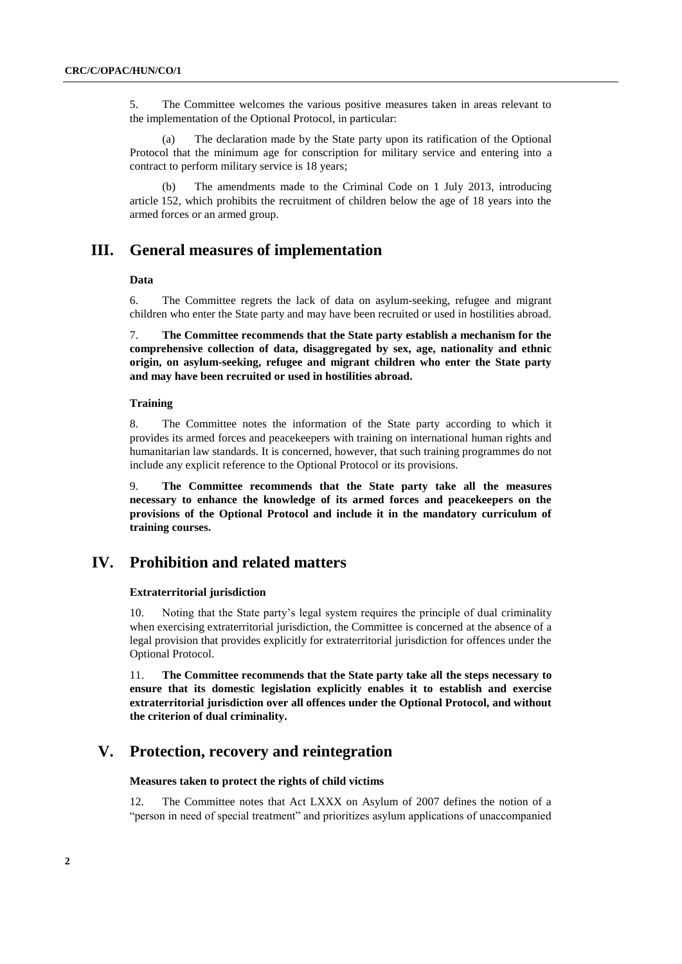5. The Committee welcomes the various positive measures taken in areas relevant to the implementation of the Optional Protocol, in particular:

(a) The declaration made by the State party upon its ratification of the Optional Protocol that the minimum age for conscription for military service and entering into a contract to perform military service is 18 years;

(b) The amendments made to the Criminal Code on 1 July 2013, introducing article 152, which prohibits the recruitment of children below the age of 18 years into the armed forces or an armed group.

## **III. General measures of implementation**

#### **Data**

6. The Committee regrets the lack of data on asylum-seeking, refugee and migrant children who enter the State party and may have been recruited or used in hostilities abroad.

7. **The Committee recommends that the State party establish a mechanism for the comprehensive collection of data, disaggregated by sex, age, nationality and ethnic origin, on asylum-seeking, refugee and migrant children who enter the State party and may have been recruited or used in hostilities abroad.**

#### **Training**

8. The Committee notes the information of the State party according to which it provides its armed forces and peacekeepers with training on international human rights and humanitarian law standards. It is concerned, however, that such training programmes do not include any explicit reference to the Optional Protocol or its provisions.

9. **The Committee recommends that the State party take all the measures necessary to enhance the knowledge of its armed forces and peacekeepers on the provisions of the Optional Protocol and include it in the mandatory curriculum of training courses.**

### **IV. Prohibition and related matters**

#### **Extraterritorial jurisdiction**

10. Noting that the State party's legal system requires the principle of dual criminality when exercising extraterritorial jurisdiction, the Committee is concerned at the absence of a legal provision that provides explicitly for extraterritorial jurisdiction for offences under the Optional Protocol.

11. **The Committee recommends that the State party take all the steps necessary to ensure that its domestic legislation explicitly enables it to establish and exercise extraterritorial jurisdiction over all offences under the Optional Protocol, and without the criterion of dual criminality.** 

## **V. Protection, recovery and reintegration**

#### **Measures taken to protect the rights of child victims**

12. The Committee notes that Act LXXX on Asylum of 2007 defines the notion of a "person in need of special treatment" and prioritizes asylum applications of unaccompanied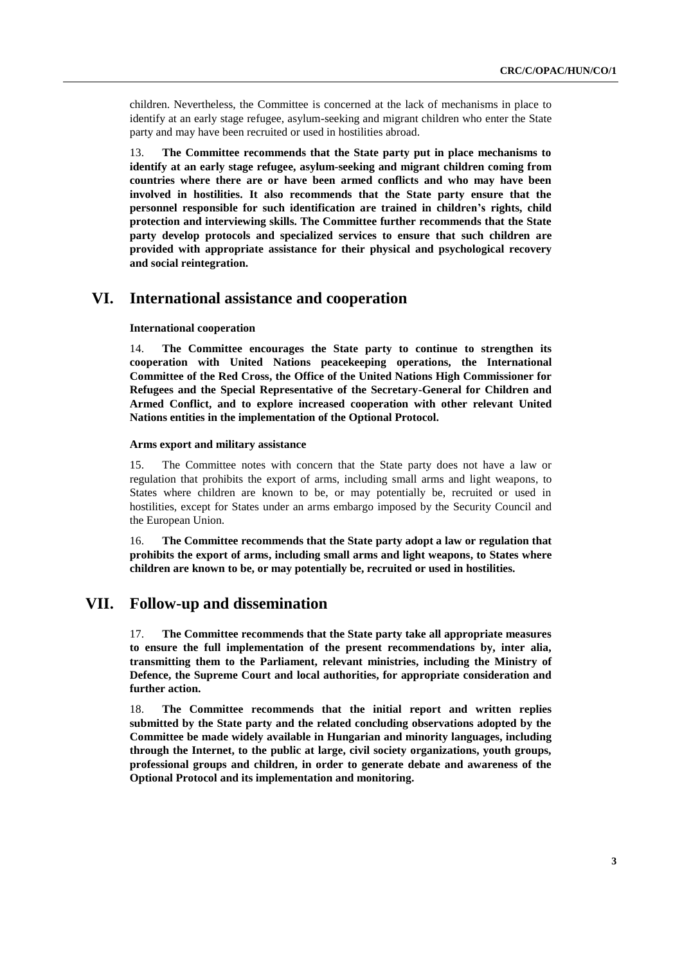children. Nevertheless, the Committee is concerned at the lack of mechanisms in place to identify at an early stage refugee, asylum-seeking and migrant children who enter the State party and may have been recruited or used in hostilities abroad.

13. **The Committee recommends that the State party put in place mechanisms to identify at an early stage refugee, asylum-seeking and migrant children coming from countries where there are or have been armed conflicts and who may have been involved in hostilities. It also recommends that the State party ensure that the personnel responsible for such identification are trained in children's rights, child protection and interviewing skills. The Committee further recommends that the State party develop protocols and specialized services to ensure that such children are provided with appropriate assistance for their physical and psychological recovery and social reintegration.**

### **VI. International assistance and cooperation**

#### **International cooperation**

14. **The Committee encourages the State party to continue to strengthen its cooperation with United Nations peacekeeping operations, the International Committee of the Red Cross, the Office of the United Nations High Commissioner for Refugees and the Special Representative of the Secretary-General for Children and Armed Conflict, and to explore increased cooperation with other relevant United Nations entities in the implementation of the Optional Protocol.**

#### **Arms export and military assistance**

15. The Committee notes with concern that the State party does not have a law or regulation that prohibits the export of arms, including small arms and light weapons, to States where children are known to be, or may potentially be, recruited or used in hostilities, except for States under an arms embargo imposed by the Security Council and the European Union.

16. **The Committee recommends that the State party adopt a law or regulation that prohibits the export of arms, including small arms and light weapons, to States where children are known to be, or may potentially be, recruited or used in hostilities.**

### **VII. Follow-up and dissemination**

17. **The Committee recommends that the State party take all appropriate measures to ensure the full implementation of the present recommendations by, inter alia, transmitting them to the Parliament, relevant ministries, including the Ministry of Defence, the Supreme Court and local authorities, for appropriate consideration and further action.**

18. **The Committee recommends that the initial report and written replies submitted by the State party and the related concluding observations adopted by the Committee be made widely available in Hungarian and minority languages, including through the Internet, to the public at large, civil society organizations, youth groups, professional groups and children, in order to generate debate and awareness of the Optional Protocol and its implementation and monitoring.**